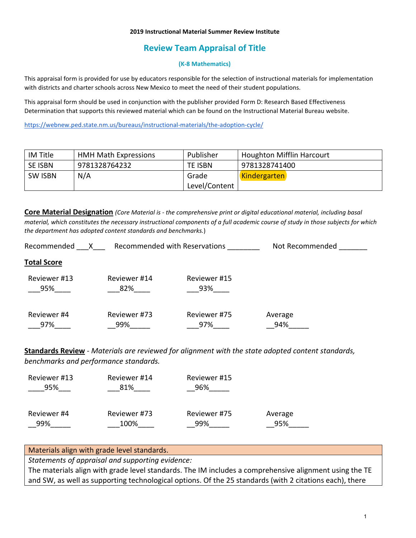#### **2019 Instructional Material Summer Review Institute**

# **Review Team Appraisal of Title**

#### **(K-8 Mathematics)**

This appraisal form is provided for use by educators responsible for the selection of instructional materials for implementation with districts and charter schools across New Mexico to meet the need of their student populations.

This appraisal form should be used in conjunction with the publisher provided Form D: Research Based Effectiveness Determination that supports this reviewed material which can be found on the Instructional Material Bureau website.

<https://webnew.ped.state.nm.us/bureaus/instructional-materials/the-adoption-cycle/>

| IM Title       | <b>HMH Math Expressions</b> | Publisher      | <b>Houghton Mifflin Harcourt</b> |
|----------------|-----------------------------|----------------|----------------------------------|
| <b>SE ISBN</b> | 9781328764232               | <b>TE ISBN</b> | 9781328741400                    |
| <b>SW ISBN</b> | N/A                         | Grade          | Kindergarten                     |
|                |                             | Level/Content  |                                  |

**Core Material Designation** *(Core Material is - the comprehensive print or digital educational material, including basal material, which constitutes the necessary instructional components of a full academic course of study in those subjects for which the department has adopted content standards and benchmarks.*)

| Recommended        | Recommended with Reservations |              | Not Recommended |
|--------------------|-------------------------------|--------------|-----------------|
| <b>Total Score</b> |                               |              |                 |
| Reviewer #13       | Reviewer #14                  | Reviewer #15 |                 |
| 95%                | 82%                           | 93%          |                 |
| Reviewer #4        | Reviewer #73                  | Reviewer #75 | Average         |
| 97%                | 99%                           | 97%          | 94%             |

**Standards Review** - *Materials are reviewed for alignment with the state adopted content standards, benchmarks and performance standards.*

| Reviewer #13 | Reviewer #14 | Reviewer #15 |         |
|--------------|--------------|--------------|---------|
| 95%          | 81%          | 96%          |         |
|              |              |              |         |
| Reviewer #4  | Reviewer #73 | Reviewer #75 | Average |
| 99%          | 100%         | 99%          | 95%     |

### Materials align with grade level standards.

*Statements of appraisal and supporting evidence:*

The materials align with grade level standards. The IM includes a comprehensive alignment using the TE and SW, as well as supporting technological options. Of the 25 standards (with 2 citations each), there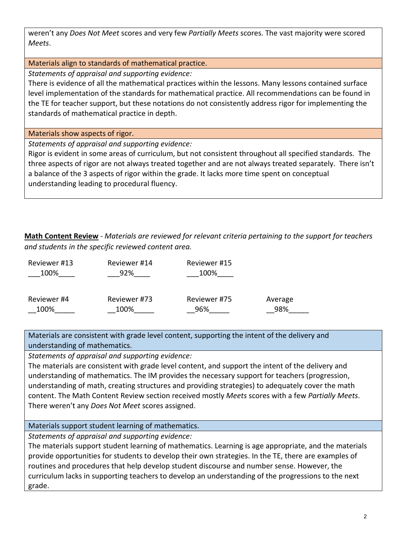weren't any *Does Not Meet* scores and very few *Partially Meets* scores. The vast majority were scored *Meets*.

## Materials align to standards of mathematical practice.

*Statements of appraisal and supporting evidence:*

There is evidence of all the mathematical practices within the lessons. Many lessons contained surface level implementation of the standards for mathematical practice. All recommendations can be found in the TE for teacher support, but these notations do not consistently address rigor for implementing the standards of mathematical practice in depth.

Materials show aspects of rigor.

*Statements of appraisal and supporting evidence:*

Rigor is evident in some areas of curriculum, but not consistent throughout all specified standards. The three aspects of rigor are not always treated together and are not always treated separately. There isn't a balance of the 3 aspects of rigor within the grade. It lacks more time spent on conceptual understanding leading to procedural fluency.

**Math Content Review** - *Materials are reviewed for relevant criteria pertaining to the support for teachers and students in the specific reviewed content area.*

| Reviewer #13 | Reviewer #14 | Reviewer #15 |         |
|--------------|--------------|--------------|---------|
| 100%         | 92%          | 100%         |         |
| Reviewer #4  | Reviewer #73 | Reviewer #75 | Average |
| 100%         | 100%         | 96%          | 98%     |

Materials are consistent with grade level content, supporting the intent of the delivery and understanding of mathematics.

*Statements of appraisal and supporting evidence:*

The materials are consistent with grade level content, and support the intent of the delivery and understanding of mathematics. The IM provides the necessary support for teachers (progression, understanding of math, creating structures and providing strategies) to adequately cover the math content. The Math Content Review section received mostly *Meets* scores with a few *Partially Meets*. There weren't any *Does Not Meet* scores assigned.

Materials support student learning of mathematics.

*Statements of appraisal and supporting evidence:*

The materials support student learning of mathematics. Learning is age appropriate, and the materials provide opportunities for students to develop their own strategies. In the TE, there are examples of routines and procedures that help develop student discourse and number sense. However, the curriculum lacks in supporting teachers to develop an understanding of the progressions to the next grade.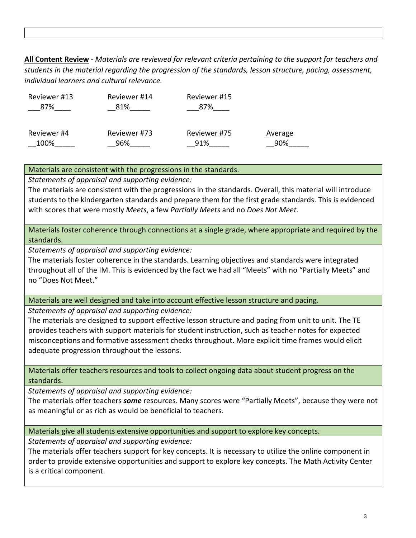**All Content Review** - *Materials are reviewed for relevant criteria pertaining to the support for teachers and students in the material regarding the progression of the standards, lesson structure, pacing, assessment, individual learners and cultural relevance.*

| Reviewer #13 | Reviewer #14 | Reviewer #15 |         |
|--------------|--------------|--------------|---------|
| 87%          | 81%          | 87%          |         |
| Reviewer #4  | Reviewer #73 | Reviewer #75 | Average |
| 100%         | 96%          | 91%          | 90%     |

### Materials are consistent with the progressions in the standards.

*Statements of appraisal and supporting evidence:*

The materials are consistent with the progressions in the standards. Overall, this material will introduce students to the kindergarten standards and prepare them for the first grade standards. This is evidenced with scores that were mostly *Meets*, a few *Partially Meets* and no *Does Not Meet.*

Materials foster coherence through connections at a single grade, where appropriate and required by the standards.

*Statements of appraisal and supporting evidence:*

The materials foster coherence in the standards. Learning objectives and standards were integrated throughout all of the IM. This is evidenced by the fact we had all "Meets" with no "Partially Meets" and no "Does Not Meet."

Materials are well designed and take into account effective lesson structure and pacing.

*Statements of appraisal and supporting evidence:*

The materials are designed to support effective lesson structure and pacing from unit to unit. The TE provides teachers with support materials for student instruction, such as teacher notes for expected misconceptions and formative assessment checks throughout. More explicit time frames would elicit adequate progression throughout the lessons.

Materials offer teachers resources and tools to collect ongoing data about student progress on the standards.

*Statements of appraisal and supporting evidence:*

The materials offer teachers *some* resources. Many scores were "Partially Meets", because they were not as meaningful or as rich as would be beneficial to teachers.

Materials give all students extensive opportunities and support to explore key concepts.

*Statements of appraisal and supporting evidence:*

The materials offer teachers support for key concepts. It is necessary to utilize the online component in order to provide extensive opportunities and support to explore key concepts. The Math Activity Center is a critical component.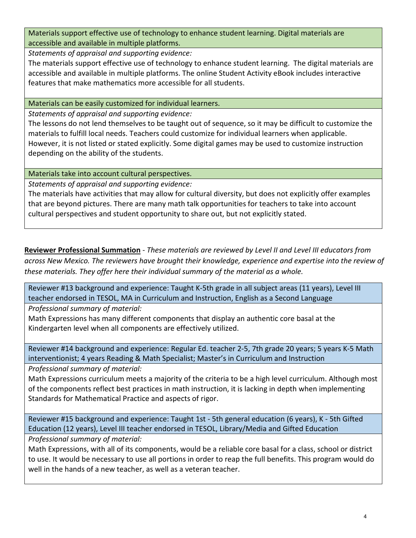Materials support effective use of technology to enhance student learning. Digital materials are accessible and available in multiple platforms.

*Statements of appraisal and supporting evidence:*

The materials support effective use of technology to enhance student learning. The digital materials are accessible and available in multiple platforms. The online Student Activity eBook includes interactive features that make mathematics more accessible for all students.

### Materials can be easily customized for individual learners.

*Statements of appraisal and supporting evidence:* 

The lessons do not lend themselves to be taught out of sequence, so it may be difficult to customize the materials to fulfill local needs. Teachers could customize for individual learners when applicable. However, it is not listed or stated explicitly. Some digital games may be used to customize instruction depending on the ability of the students.

Materials take into account cultural perspectives.

*Statements of appraisal and supporting evidence:*

The materials have activities that may allow for cultural diversity, but does not explicitly offer examples that are beyond pictures. There are many math talk opportunities for teachers to take into account cultural perspectives and student opportunity to share out, but not explicitly stated.

**Reviewer Professional Summation** - *These materials are reviewed by Level II and Level III educators from across New Mexico. The reviewers have brought their knowledge, experience and expertise into the review of these materials. They offer here their individual summary of the material as a whole.* 

Reviewer #13 background and experience: Taught K-5th grade in all subject areas (11 years), Level III teacher endorsed in TESOL, MA in Curriculum and Instruction, English as a Second Language

*Professional summary of material:*

Math Expressions has many different components that display an authentic core basal at the Kindergarten level when all components are effectively utilized.

Reviewer #14 background and experience: Regular Ed. teacher 2-5, 7th grade 20 years; 5 years K-5 Math interventionist; 4 years Reading & Math Specialist; Master's in Curriculum and Instruction

*Professional summary of material:*

Math Expressions curriculum meets a majority of the criteria to be a high level curriculum. Although most of the components reflect best practices in math instruction, it is lacking in depth when implementing Standards for Mathematical Practice and aspects of rigor.

Reviewer #15 background and experience: Taught 1st - 5th general education (6 years), K - 5th Gifted Education (12 years), Level III teacher endorsed in TESOL, Library/Media and Gifted Education

*Professional summary of material:*

Math Expressions, with all of its components, would be a reliable core basal for a class, school or district to use. It would be necessary to use all portions in order to reap the full benefits. This program would do well in the hands of a new teacher, as well as a veteran teacher.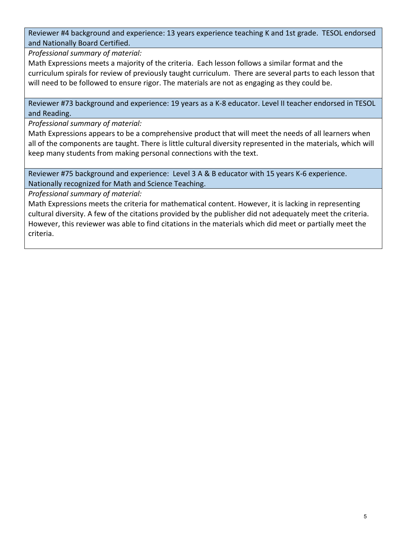Reviewer #4 background and experience: 13 years experience teaching K and 1st grade. TESOL endorsed and Nationally Board Certified.

*Professional summary of material:*

Math Expressions meets a majority of the criteria. Each lesson follows a similar format and the curriculum spirals for review of previously taught curriculum. There are several parts to each lesson that will need to be followed to ensure rigor. The materials are not as engaging as they could be.

Reviewer #73 background and experience: 19 years as a K-8 educator. Level II teacher endorsed in TESOL and Reading.

*Professional summary of material:*

Math Expressions appears to be a comprehensive product that will meet the needs of all learners when all of the components are taught. There is little cultural diversity represented in the materials, which will keep many students from making personal connections with the text.

Reviewer #75 background and experience: Level 3 A & B educator with 15 years K-6 experience. Nationally recognized for Math and Science Teaching.

*Professional summary of material:*

Math Expressions meets the criteria for mathematical content. However, it is lacking in representing cultural diversity. A few of the citations provided by the publisher did not adequately meet the criteria. However, this reviewer was able to find citations in the materials which did meet or partially meet the criteria.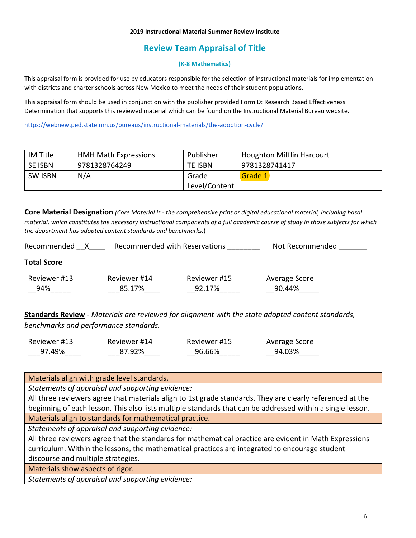#### **2019 Instructional Material Summer Review Institute**

# **Review Team Appraisal of Title**

#### **(K-8 Mathematics)**

This appraisal form is provided for use by educators responsible for the selection of instructional materials for implementation with districts and charter schools across New Mexico to meet the needs of their student populations.

This appraisal form should be used in conjunction with the publisher provided Form D: Research Based Effectiveness Determination that supports this reviewed material which can be found on the Instructional Material Bureau website.

<https://webnew.ped.state.nm.us/bureaus/instructional-materials/the-adoption-cycle/>

| IM Title       | <b>HMH Math Expressions</b> | Publisher      | <b>Houghton Mifflin Harcourt</b> |
|----------------|-----------------------------|----------------|----------------------------------|
| <b>SE ISBN</b> | 9781328764249               | <b>TE ISBN</b> | 9781328741417                    |
| <b>SW ISBN</b> | N/A                         | Grade          | Grade 1                          |
|                |                             | Level/Content  |                                  |

**Core Material Designation** *(Core Material is - the comprehensive print or digital educational material, including basal material, which constitutes the necessary instructional components of a full academic course of study in those subjects for which the department has adopted content standards and benchmarks.*)

| Recommended         | Recommended with Reservations |                        | Not Recommended         |
|---------------------|-------------------------------|------------------------|-------------------------|
| <b>Total Score</b>  |                               |                        |                         |
| Reviewer #13<br>94% | Reviewer #14<br>85.17%        | Reviewer #15<br>92.17% | Average Score<br>90.44% |

**Standards Review** - *Materials are reviewed for alignment with the state adopted content standards, benchmarks and performance standards.*

| Reviewer #13 | Reviewer #14 | Reviewer #15 | Average Score |
|--------------|--------------|--------------|---------------|
| 97.49%       | 87.92%       | 96.66%       | 94.03%        |

Materials align with grade level standards.

*Statements of appraisal and supporting evidence:*

All three reviewers agree that materials align to 1st grade standards. They are clearly referenced at the beginning of each lesson. This also lists multiple standards that can be addressed within a single lesson. Materials align to standards for mathematical practice.

*Statements of appraisal and supporting evidence:*

All three reviewers agree that the standards for mathematical practice are evident in Math Expressions curriculum. Within the lessons, the mathematical practices are integrated to encourage student discourse and multiple strategies.

Materials show aspects of rigor.

*Statements of appraisal and supporting evidence:*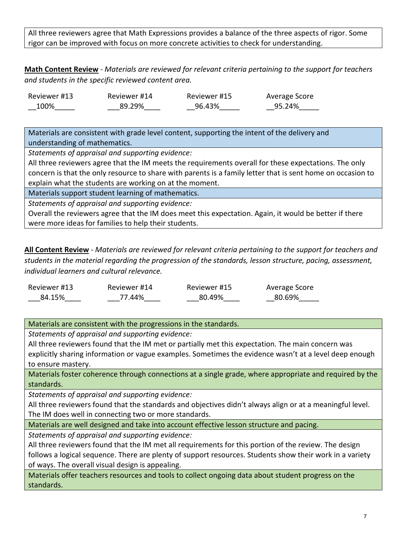All three reviewers agree that Math Expressions provides a balance of the three aspects of rigor. Some rigor can be improved with focus on more concrete activities to check for understanding.

**Math Content Review** - *Materials are reviewed for relevant criteria pertaining to the support for teachers and students in the specific reviewed content area.*

| Reviewer #13 | Reviewer #14 | Reviewer #15 | Average Score |
|--------------|--------------|--------------|---------------|
| 100%         | 89.29%       | 96.43%       | 95.24%        |

Materials are consistent with grade level content, supporting the intent of the delivery and understanding of mathematics.

*Statements of appraisal and supporting evidence:*

All three reviewers agree that the IM meets the requirements overall for these expectations. The only concern is that the only resource to share with parents is a family letter that is sent home on occasion to explain what the students are working on at the moment.

Materials support student learning of mathematics.

*Statements of appraisal and supporting evidence:*

Overall the reviewers agree that the IM does meet this expectation. Again, it would be better if there were more ideas for families to help their students.

**All Content Review** - *Materials are reviewed for relevant criteria pertaining to the support for teachers and students in the material regarding the progression of the standards, lesson structure, pacing, assessment, individual learners and cultural relevance.*

| Reviewer #13 | Reviewer #14 | Reviewer #15 | Average Score |
|--------------|--------------|--------------|---------------|
| 84.15%       | 77.44%       | 80.49%       | 80.69%        |

Materials are consistent with the progressions in the standards.

*Statements of appraisal and supporting evidence:*

All three reviewers found that the IM met or partially met this expectation. The main concern was explicitly sharing information or vague examples. Sometimes the evidence wasn't at a level deep enough to ensure mastery.

Materials foster coherence through connections at a single grade, where appropriate and required by the standards.

*Statements of appraisal and supporting evidence:*

All three reviewers found that the standards and objectives didn't always align or at a meaningful level. The IM does well in connecting two or more standards.

Materials are well designed and take into account effective lesson structure and pacing.

*Statements of appraisal and supporting evidence:*

All three reviewers found that the IM met all requirements for this portion of the review. The design follows a logical sequence. There are plenty of support resources. Students show their work in a variety of ways. The overall visual design is appealing.

Materials offer teachers resources and tools to collect ongoing data about student progress on the standards.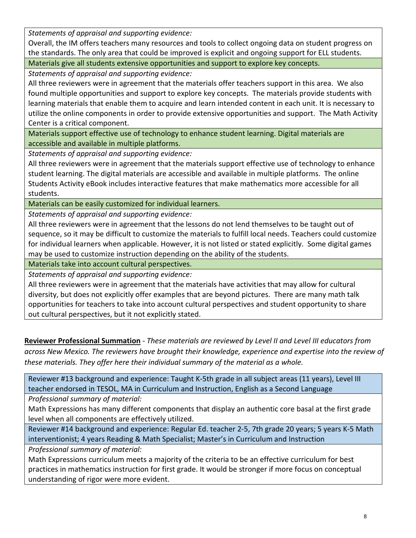*Statements of appraisal and supporting evidence:*

Overall, the IM offers teachers many resources and tools to collect ongoing data on student progress on the standards. The only area that could be improved is explicit and ongoing support for ELL students.

Materials give all students extensive opportunities and support to explore key concepts.

*Statements of appraisal and supporting evidence:*

All three reviewers were in agreement that the materials offer teachers support in this area. We also found multiple opportunities and support to explore key concepts. The materials provide students with learning materials that enable them to acquire and learn intended content in each unit. It is necessary to utilize the online components in order to provide extensive opportunities and support. The Math Activity Center is a critical component.

Materials support effective use of technology to enhance student learning. Digital materials are accessible and available in multiple platforms.

*Statements of appraisal and supporting evidence:*

All three reviewers were in agreement that the materials support effective use of technology to enhance student learning. The digital materials are accessible and available in multiple platforms. The online Students Activity eBook includes interactive features that make mathematics more accessible for all students.

Materials can be easily customized for individual learners.

*Statements of appraisal and supporting evidence:*

All three reviewers were in agreement that the lessons do not lend themselves to be taught out of sequence, so it may be difficult to customize the materials to fulfill local needs. Teachers could customize for individual learners when applicable. However, it is not listed or stated explicitly. Some digital games may be used to customize instruction depending on the ability of the students.

Materials take into account cultural perspectives.

*Statements of appraisal and supporting evidence:*

All three reviewers were in agreement that the materials have activities that may allow for cultural diversity, but does not explicitly offer examples that are beyond pictures. There are many math talk opportunities for teachers to take into account cultural perspectives and student opportunity to share out cultural perspectives, but it not explicitly stated.

**Reviewer Professional Summation** - *These materials are reviewed by Level II and Level III educators from across New Mexico. The reviewers have brought their knowledge, experience and expertise into the review of these materials. They offer here their individual summary of the material as a whole.* 

Reviewer #13 background and experience: Taught K-5th grade in all subject areas (11 years), Level III teacher endorsed in TESOL, MA in Curriculum and Instruction, English as a Second Language

*Professional summary of material:*

Math Expressions has many different components that display an authentic core basal at the first grade level when all components are effectively utilized.

Reviewer #14 background and experience: Regular Ed. teacher 2-5, 7th grade 20 years; 5 years K-5 Math interventionist; 4 years Reading & Math Specialist; Master's in Curriculum and Instruction

*Professional summary of material:*

Math Expressions curriculum meets a majority of the criteria to be an effective curriculum for best practices in mathematics instruction for first grade. It would be stronger if more focus on conceptual understanding of rigor were more evident.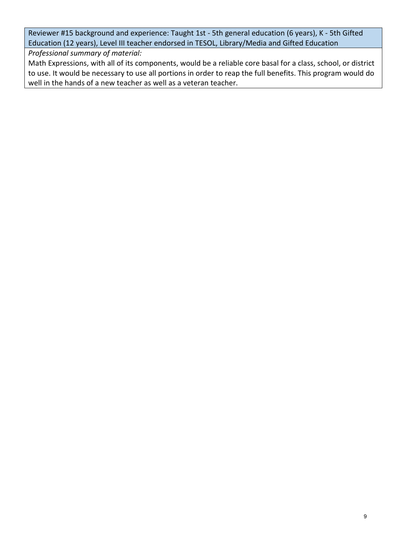Reviewer #15 background and experience: Taught 1st - 5th general education (6 years), K - 5th Gifted Education (12 years), Level III teacher endorsed in TESOL, Library/Media and Gifted Education

*Professional summary of material:*

Math Expressions, with all of its components, would be a reliable core basal for a class, school, or district to use. It would be necessary to use all portions in order to reap the full benefits. This program would do well in the hands of a new teacher as well as a veteran teacher.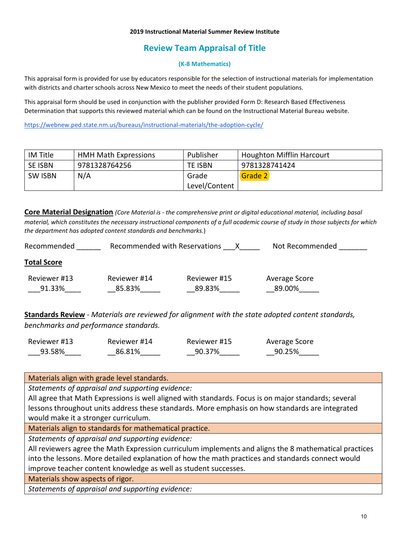#### **2019 Instructional Material Summer Review Institute**

# **Review Team Appraisal of Title**

#### **(K-8 Mathematics)**

This appraisal form is provided for use by educators responsible for the selection of instructional materials for implementation with districts and charter schools across New Mexico to meet the needs of their student populations.

This appraisal form should be used in conjunction with the publisher provided Form D: Research Based Effectiveness Determination that supports this reviewed material which can be found on the Instructional Material Bureau website.

<https://webnew.ped.state.nm.us/bureaus/instructional-materials/the-adoption-cycle/>

| IM Title       | <b>HMH Math Expressions</b> | Publisher      | <b>Houghton Mifflin Harcourt</b> |
|----------------|-----------------------------|----------------|----------------------------------|
| SE ISBN        | 9781328764256               | <b>TE ISBN</b> | 9781328741424                    |
| <b>SW ISBN</b> | N/A                         | Grade          | Grade 2                          |
|                |                             | Level/Content  |                                  |

**Core Material Designation** *(Core Material is - the comprehensive print or digital educational material, including basal material, which constitutes the necessary instructional components of a full academic course of study in those subjects for which the department has adopted content standards and benchmarks.*)

| Recommended            | Recommended with Reservations | X                      | Not Recommended         |
|------------------------|-------------------------------|------------------------|-------------------------|
| <b>Total Score</b>     |                               |                        |                         |
| Reviewer #13<br>91.33% | Reviewer #14<br>85.83%        | Reviewer #15<br>89.83% | Average Score<br>89.00% |

**Standards Review** - *Materials are reviewed for alignment with the state adopted content standards, benchmarks and performance standards.*

| Reviewer #13 | Reviewer #14 | Reviewer #15 | Average Score |
|--------------|--------------|--------------|---------------|
| 93.58%       | 86.81%       | 90.37%       | 90.25%        |

Materials align with grade level standards.

*Statements of appraisal and supporting evidence:*

All agree that Math Expressions is well aligned with standards. Focus is on major standards; several lessons throughout units address these standards. More emphasis on how standards are integrated would make it a stronger curriculum.

Materials align to standards for mathematical practice.

*Statements of appraisal and supporting evidence:*

All reviewers agree the Math Expression curriculum implements and aligns the 8 mathematical practices into the lessons. More detailed explanation of how the math practices and standards connect would improve teacher content knowledge as well as student successes.

Materials show aspects of rigor.

*Statements of appraisal and supporting evidence:*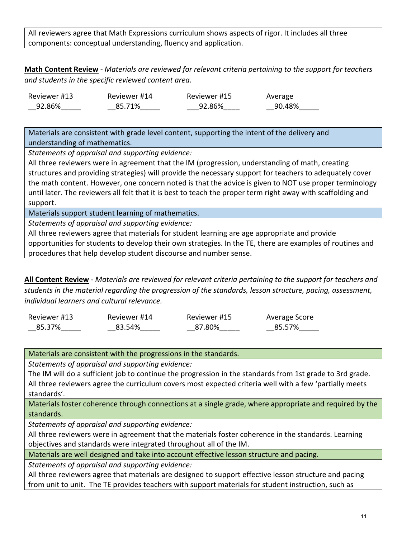All reviewers agree that Math Expressions curriculum shows aspects of rigor. It includes all three components: conceptual understanding, fluency and application.

**Math Content Review** - *Materials are reviewed for relevant criteria pertaining to the support for teachers and students in the specific reviewed content area.*

| Reviewer #13 | Reviewer #14 | Reviewer #15 | Average |
|--------------|--------------|--------------|---------|
| 92.86%       | 85.71%       | 92.86%       | 90.48%  |

Materials are consistent with grade level content, supporting the intent of the delivery and understanding of mathematics.

*Statements of appraisal and supporting evidence:*

All three reviewers were in agreement that the IM (progression, understanding of math, creating structures and providing strategies) will provide the necessary support for teachers to adequately cover the math content. However, one concern noted is that the advice is given to NOT use proper terminology until later. The reviewers all felt that it is best to teach the proper term right away with scaffolding and support.

Materials support student learning of mathematics.

*Statements of appraisal and supporting evidence:*

All three reviewers agree that materials for student learning are age appropriate and provide opportunities for students to develop their own strategies. In the TE, there are examples of routines and procedures that help develop student discourse and number sense.

**All Content Review** - *Materials are reviewed for relevant criteria pertaining to the support for teachers and students in the material regarding the progression of the standards, lesson structure, pacing, assessment, individual learners and cultural relevance.*

| Reviewer #13 | Reviewer #14 | Reviewer #15 | Average Score |
|--------------|--------------|--------------|---------------|
| 85.37%       | 83.54%       | 87.80%       | 85.57%        |

Materials are consistent with the progressions in the standards.

*Statements of appraisal and supporting evidence:*

The IM will do a sufficient job to continue the progression in the standards from 1st grade to 3rd grade. All three reviewers agree the curriculum covers most expected criteria well with a few 'partially meets standards'.

Materials foster coherence through connections at a single grade, where appropriate and required by the standards.

*Statements of appraisal and supporting evidence:*

All three reviewers were in agreement that the materials foster coherence in the standards. Learning objectives and standards were integrated throughout all of the IM.

Materials are well designed and take into account effective lesson structure and pacing.

*Statements of appraisal and supporting evidence:*

All three reviewers agree that materials are designed to support effective lesson structure and pacing from unit to unit. The TE provides teachers with support materials for student instruction, such as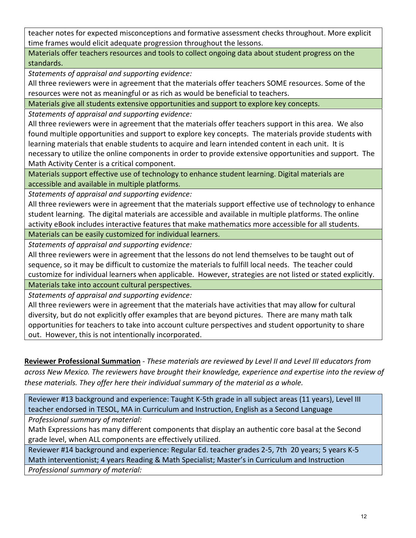teacher notes for expected misconceptions and formative assessment checks throughout. More explicit time frames would elicit adequate progression throughout the lessons.

Materials offer teachers resources and tools to collect ongoing data about student progress on the standards.

*Statements of appraisal and supporting evidence:*

All three reviewers were in agreement that the materials offer teachers SOME resources. Some of the resources were not as meaningful or as rich as would be beneficial to teachers.

Materials give all students extensive opportunities and support to explore key concepts.

*Statements of appraisal and supporting evidence:*

All three reviewers were in agreement that the materials offer teachers support in this area. We also found multiple opportunities and support to explore key concepts. The materials provide students with learning materials that enable students to acquire and learn intended content in each unit. It is necessary to utilize the online components in order to provide extensive opportunities and support. The Math Activity Center is a critical component.

Materials support effective use of technology to enhance student learning. Digital materials are accessible and available in multiple platforms.

*Statements of appraisal and supporting evidence:*

All three reviewers were in agreement that the materials support effective use of technology to enhance student learning. The digital materials are accessible and available in multiple platforms. The online activity eBook includes interactive features that make mathematics more accessible for all students.

Materials can be easily customized for individual learners.

*Statements of appraisal and supporting evidence:*

All three reviewers were in agreement that the lessons do not lend themselves to be taught out of sequence, so it may be difficult to customize the materials to fulfill local needs. The teacher could customize for individual learners when applicable. However, strategies are not listed or stated explicitly.

Materials take into account cultural perspectives.

*Statements of appraisal and supporting evidence:*

All three reviewers were in agreement that the materials have activities that may allow for cultural diversity, but do not explicitly offer examples that are beyond pictures. There are many math talk opportunities for teachers to take into account culture perspectives and student opportunity to share out. However, this is not intentionally incorporated.

**Reviewer Professional Summation** - *These materials are reviewed by Level II and Level III educators from across New Mexico. The reviewers have brought their knowledge, experience and expertise into the review of these materials. They offer here their individual summary of the material as a whole.* 

Reviewer #13 background and experience: Taught K-5th grade in all subject areas (11 years), Level III teacher endorsed in TESOL, MA in Curriculum and Instruction, English as a Second Language

*Professional summary of material:*

Math Expressions has many different components that display an authentic core basal at the Second grade level, when ALL components are effectively utilized.

Reviewer #14 background and experience: Regular Ed. teacher grades 2-5, 7th 20 years; 5 years K-5 Math interventionist; 4 years Reading & Math Specialist; Master's in Curriculum and Instruction *Professional summary of material:*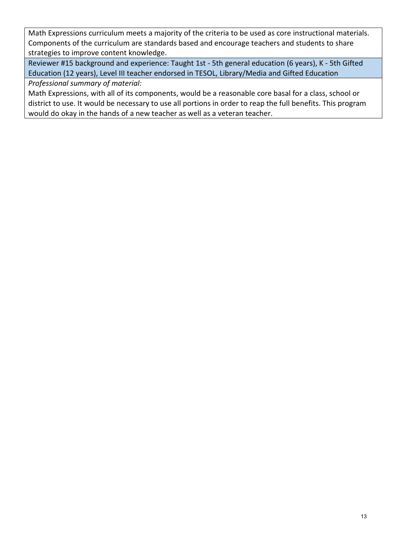Math Expressions curriculum meets a majority of the criteria to be used as core instructional materials. Components of the curriculum are standards based and encourage teachers and students to share strategies to improve content knowledge.

Reviewer #15 background and experience: Taught 1st - 5th general education (6 years), K - 5th Gifted Education (12 years), Level III teacher endorsed in TESOL, Library/Media and Gifted Education

*Professional summary of material:*

Math Expressions, with all of its components, would be a reasonable core basal for a class, school or district to use. It would be necessary to use all portions in order to reap the full benefits. This program would do okay in the hands of a new teacher as well as a veteran teacher.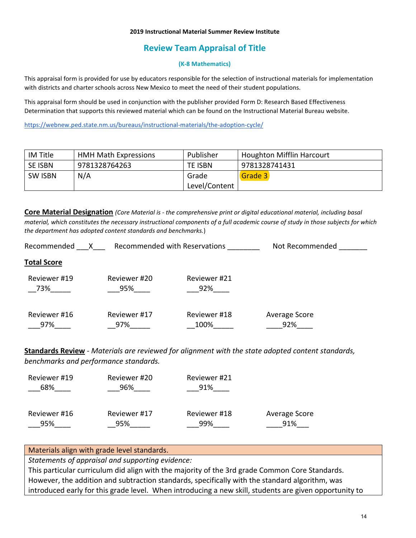#### **2019 Instructional Material Summer Review Institute**

# **Review Team Appraisal of Title**

#### **(K-8 Mathematics)**

This appraisal form is provided for use by educators responsible for the selection of instructional materials for implementation with districts and charter schools across New Mexico to meet the need of their student populations.

This appraisal form should be used in conjunction with the publisher provided Form D: Research Based Effectiveness Determination that supports this reviewed material which can be found on the Instructional Material Bureau website.

<https://webnew.ped.state.nm.us/bureaus/instructional-materials/the-adoption-cycle/>

| IM Title       | <b>HMH Math Expressions</b> | Publisher     | <b>Houghton Mifflin Harcourt</b> |
|----------------|-----------------------------|---------------|----------------------------------|
| <b>SE ISBN</b> | 9781328764263               | TE ISBN       | 9781328741431                    |
| <b>SW ISBN</b> | N/A                         | Grade         | Grade 3                          |
|                |                             | Level/Content |                                  |

**Core Material Designation** *(Core Material is - the comprehensive print or digital educational material, including basal material, which constitutes the necessary instructional components of a full academic course of study in those subjects for which the department has adopted content standards and benchmarks.*)

| Recommended         |                     | Recommended with Reservations | Not Recommended      |  |
|---------------------|---------------------|-------------------------------|----------------------|--|
| <b>Total Score</b>  |                     |                               |                      |  |
| Reviewer #19<br>73% | Reviewer #20<br>95% | Reviewer #21<br>92%           |                      |  |
| Reviewer #16<br>97% | Reviewer #17<br>97% | Reviewer #18<br>100%          | Average Score<br>92% |  |

**Standards Review** - *Materials are reviewed for alignment with the state adopted content standards, benchmarks and performance standards.*

| Reviewer #19 | Reviewer #20 | Reviewer #21 |               |
|--------------|--------------|--------------|---------------|
| 68%          | 96%          | 91%          |               |
| Reviewer #16 | Reviewer #17 | Reviewer #18 | Average Score |
| 95%          | 95%          | 99%          | 91%           |

### Materials align with grade level standards.

*Statements of appraisal and supporting evidence:*

This particular curriculum did align with the majority of the 3rd grade Common Core Standards. However, the addition and subtraction standards, specifically with the standard algorithm, was introduced early for this grade level. When introducing a new skill, students are given opportunity to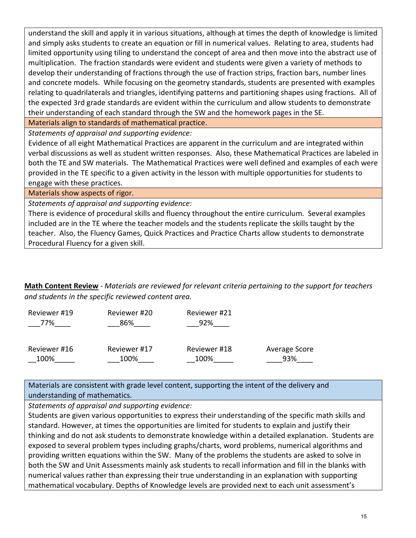understand the skill and apply it in various situations, although at times the depth of knowledge is limited and simply asks students to create an equation or fill in numerical values. Relating to area, students had limited opportunity using tiling to understand the concept of area and then move into the abstract use of multiplication. The fraction standards were evident and students were given a variety of methods to develop their understanding of fractions through the use of fraction strips, fraction bars, number lines and concrete models. While focusing on the geometry standards, students are presented with examples relating to quadrilaterals and triangles, identifying patterns and partitioning shapes using fractions. All of the expected 3rd grade standards are evident within the curriculum and allow students to demonstrate their understanding of each standard through the SW and the homework pages in the SE.

Materials align to standards of mathematical practice.

*Statements of appraisal and supporting evidence:*

Evidence of all eight Mathematical Practices are apparent in the curriculum and are integrated within verbal discussions as well as student written responses. Also, these Mathematical Practices are labeled in both the TE and SW materials. The Mathematical Practices were well defined and examples of each were provided in the TE specific to a given activity in the lesson with multiple opportunities for students to engage with these practices.

Materials show aspects of rigor.

*Statements of appraisal and supporting evidence:*

There is evidence of procedural skills and fluency throughout the entire curriculum. Several examples included are in the TE where the teacher models and the students replicate the skills taught by the teacher. Also, the Fluency Games, Quick Practices and Practice Charts allow students to demonstrate Procedural Fluency for a given skill.

**Math Content Review** - *Materials are reviewed for relevant criteria pertaining to the support for teachers and students in the specific reviewed content area.*

| Reviewer #19 | Reviewer #20 | Reviewer #21 |               |
|--------------|--------------|--------------|---------------|
| 77%          | 86%          | 92%          |               |
| Reviewer #16 | Reviewer #17 | Reviewer #18 | Average Score |
| 100%         | 100%         | 100%         | 93%           |

Materials are consistent with grade level content, supporting the intent of the delivery and understanding of mathematics.

*Statements of appraisal and supporting evidence:*

Students are given various opportunities to express their understanding of the specific math skills and standard. However, at times the opportunities are limited for students to explain and justify their thinking and do not ask students to demonstrate knowledge within a detailed explanation. Students are exposed to several problem types including graphs/charts, word problems, numerical algorithms and providing written equations within the SW. Many of the problems the students are asked to solve in both the SW and Unit Assessments mainly ask students to recall information and fill in the blanks with numerical values rather than expressing their true understanding in an explanation with supporting mathematical vocabulary. Depths of Knowledge levels are provided next to each unit assessment's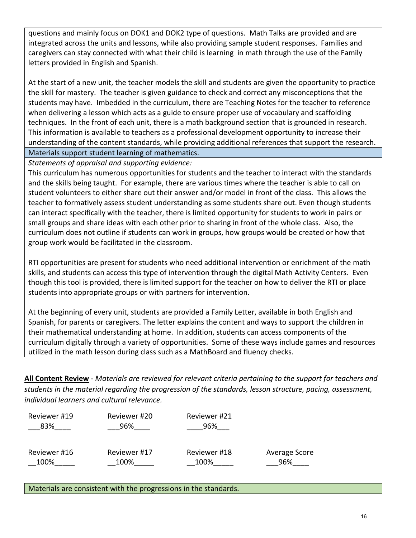questions and mainly focus on DOK1 and DOK2 type of questions. Math Talks are provided and are integrated across the units and lessons, while also providing sample student responses. Families and caregivers can stay connected with what their child is learning in math through the use of the Family letters provided in English and Spanish.

At the start of a new unit, the teacher models the skill and students are given the opportunity to practice the skill for mastery. The teacher is given guidance to check and correct any misconceptions that the students may have. Imbedded in the curriculum, there are Teaching Notes for the teacher to reference when delivering a lesson which acts as a guide to ensure proper use of vocabulary and scaffolding techniques. In the front of each unit, there is a math background section that is grounded in research. This information is available to teachers as a professional development opportunity to increase their understanding of the content standards, while providing additional references that support the research. Materials support student learning of mathematics.

*Statements of appraisal and supporting evidence:*

This curriculum has numerous opportunities for students and the teacher to interact with the standards and the skills being taught. For example, there are various times where the teacher is able to call on student volunteers to either share out their answer and/or model in front of the class. This allows the teacher to formatively assess student understanding as some students share out. Even though students can interact specifically with the teacher, there is limited opportunity for students to work in pairs or small groups and share ideas with each other prior to sharing in front of the whole class. Also, the curriculum does not outline if students can work in groups, how groups would be created or how that group work would be facilitated in the classroom.

RTI opportunities are present for students who need additional intervention or enrichment of the math skills, and students can access this type of intervention through the digital Math Activity Centers. Even though this tool is provided, there is limited support for the teacher on how to deliver the RTI or place students into appropriate groups or with partners for intervention.

At the beginning of every unit, students are provided a Family Letter, available in both English and Spanish, for parents or caregivers. The letter explains the content and ways to support the children in their mathematical understanding at home. In addition, students can access components of the curriculum digitally through a variety of opportunities. Some of these ways include games and resources utilized in the math lesson during class such as a MathBoard and fluency checks.

**All Content Review** - *Materials are reviewed for relevant criteria pertaining to the support for teachers and students in the material regarding the progression of the standards, lesson structure, pacing, assessment, individual learners and cultural relevance.*

| Reviewer #19 | Reviewer #20 | Reviewer #21 |               |
|--------------|--------------|--------------|---------------|
| 83%          | 96%          | 96%          |               |
| Reviewer #16 | Reviewer #17 | Reviewer #18 | Average Score |
| 100%         | 100%         | 100%         | 96%           |

Materials are consistent with the progressions in the standards.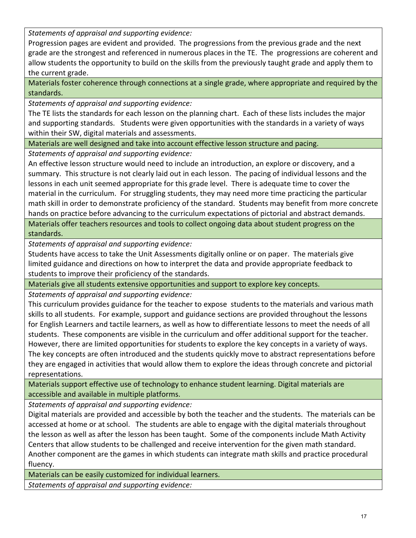*Statements of appraisal and supporting evidence:*

Progression pages are evident and provided. The progressions from the previous grade and the next grade are the strongest and referenced in numerous places in the TE. The progressions are coherent and allow students the opportunity to build on the skills from the previously taught grade and apply them to the current grade.

Materials foster coherence through connections at a single grade, where appropriate and required by the standards.

*Statements of appraisal and supporting evidence:*

The TE lists the standards for each lesson on the planning chart. Each of these lists includes the major and supporting standards. Students were given opportunities with the standards in a variety of ways within their SW, digital materials and assessments.

Materials are well designed and take into account effective lesson structure and pacing.

*Statements of appraisal and supporting evidence:*

An effective lesson structure would need to include an introduction, an explore or discovery, and a summary. This structure is not clearly laid out in each lesson. The pacing of individual lessons and the lessons in each unit seemed appropriate for this grade level. There is adequate time to cover the material in the curriculum. For struggling students, they may need more time practicing the particular math skill in order to demonstrate proficiency of the standard. Students may benefit from more concrete hands on practice before advancing to the curriculum expectations of pictorial and abstract demands.

Materials offer teachers resources and tools to collect ongoing data about student progress on the standards.

*Statements of appraisal and supporting evidence:*

Students have access to take the Unit Assessments digitally online or on paper. The materials give limited guidance and directions on how to interpret the data and provide appropriate feedback to students to improve their proficiency of the standards.

Materials give all students extensive opportunities and support to explore key concepts.

*Statements of appraisal and supporting evidence:*

This curriculum provides guidance for the teacher to expose students to the materials and various math skills to all students. For example, support and guidance sections are provided throughout the lessons for English Learners and tactile learners, as well as how to differentiate lessons to meet the needs of all students. These components are visible in the curriculum and offer additional support for the teacher. However, there are limited opportunities for students to explore the key concepts in a variety of ways. The key concepts are often introduced and the students quickly move to abstract representations before they are engaged in activities that would allow them to explore the ideas through concrete and pictorial representations.

Materials support effective use of technology to enhance student learning. Digital materials are accessible and available in multiple platforms.

*Statements of appraisal and supporting evidence:*

Digital materials are provided and accessible by both the teacher and the students. The materials can be accessed at home or at school. The students are able to engage with the digital materials throughout the lesson as well as after the lesson has been taught. Some of the components include Math Activity Centers that allow students to be challenged and receive intervention for the given math standard. Another component are the games in which students can integrate math skills and practice procedural fluency.

Materials can be easily customized for individual learners.

*Statements of appraisal and supporting evidence:*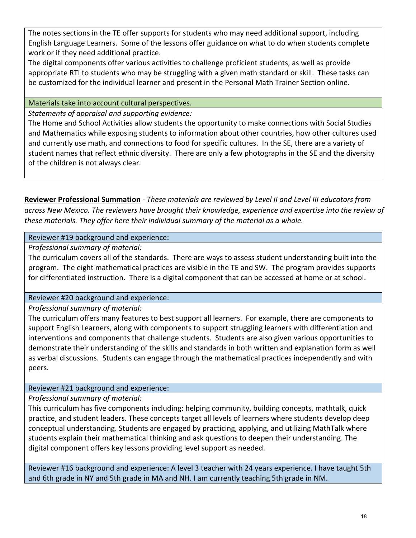The notes sections in the TE offer supports for students who may need additional support, including English Language Learners. Some of the lessons offer guidance on what to do when students complete work or if they need additional practice.

The digital components offer various activities to challenge proficient students, as well as provide appropriate RTI to students who may be struggling with a given math standard or skill. These tasks can be customized for the individual learner and present in the Personal Math Trainer Section online.

## Materials take into account cultural perspectives.

*Statements of appraisal and supporting evidence:*

The Home and School Activities allow students the opportunity to make connections with Social Studies and Mathematics while exposing students to information about other countries, how other cultures used and currently use math, and connections to food for specific cultures. In the SE, there are a variety of student names that reflect ethnic diversity. There are only a few photographs in the SE and the diversity of the children is not always clear.

**Reviewer Professional Summation** - *These materials are reviewed by Level II and Level III educators from across New Mexico. The reviewers have brought their knowledge, experience and expertise into the review of these materials. They offer here their individual summary of the material as a whole.* 

## Reviewer #19 background and experience:

*Professional summary of material:*

The curriculum covers all of the standards. There are ways to assess student understanding built into the program. The eight mathematical practices are visible in the TE and SW. The program provides supports for differentiated instruction. There is a digital component that can be accessed at home or at school.

## Reviewer #20 background and experience:

*Professional summary of material:*

The curriculum offers many features to best support all learners. For example, there are components to support English Learners, along with components to support struggling learners with differentiation and interventions and components that challenge students. Students are also given various opportunities to demonstrate their understanding of the skills and standards in both written and explanation form as well as verbal discussions. Students can engage through the mathematical practices independently and with peers.

Reviewer #21 background and experience:

## *Professional summary of material:*

This curriculum has five components including: helping community, building concepts, mathtalk, quick practice, and student leaders. These concepts target all levels of learners where students develop deep conceptual understanding. Students are engaged by practicing, applying, and utilizing MathTalk where students explain their mathematical thinking and ask questions to deepen their understanding. The digital component offers key lessons providing level support as needed.

Reviewer #16 background and experience: A level 3 teacher with 24 years experience. I have taught 5th and 6th grade in NY and 5th grade in MA and NH. I am currently teaching 5th grade in NM.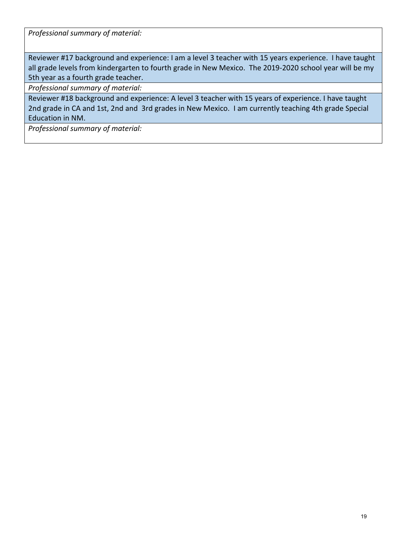*Professional summary of material:*

Reviewer #17 background and experience: I am a level 3 teacher with 15 years experience. I have taught all grade levels from kindergarten to fourth grade in New Mexico. The 2019-2020 school year will be my 5th year as a fourth grade teacher.

*Professional summary of material:* 

Reviewer #18 background and experience: A level 3 teacher with 15 years of experience. I have taught 2nd grade in CA and 1st, 2nd and 3rd grades in New Mexico. I am currently teaching 4th grade Special Education in NM.

*Professional summary of material:*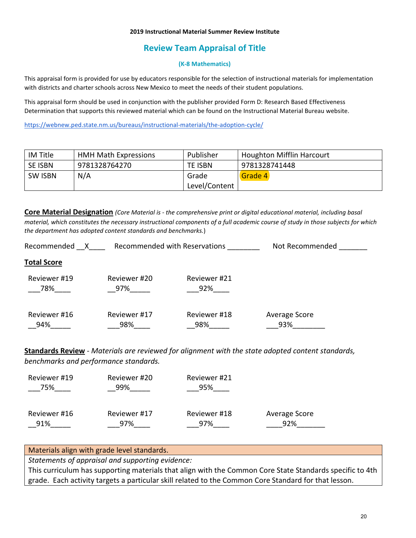#### **2019 Instructional Material Summer Review Institute**

# **Review Team Appraisal of Title**

#### **(K-8 Mathematics)**

This appraisal form is provided for use by educators responsible for the selection of instructional materials for implementation with districts and charter schools across New Mexico to meet the needs of their student populations.

This appraisal form should be used in conjunction with the publisher provided Form D: Research Based Effectiveness Determination that supports this reviewed material which can be found on the Instructional Material Bureau website.

<https://webnew.ped.state.nm.us/bureaus/instructional-materials/the-adoption-cycle/>

| IM Title       | <b>HMH Math Expressions</b> | Publisher     | <b>Houghton Mifflin Harcourt</b> |
|----------------|-----------------------------|---------------|----------------------------------|
| <b>SE ISBN</b> | 9781328764270               | TE ISBN       | 9781328741448                    |
| <b>SW ISBN</b> | N/A                         | Grade         | Grade 4                          |
|                |                             | Level/Content |                                  |

**Core Material Designation** *(Core Material is - the comprehensive print or digital educational material, including basal material, which constitutes the necessary instructional components of a full academic course of study in those subjects for which the department has adopted content standards and benchmarks.*)

| Recommended         | Recommended with Reservations |                     | Not Recommended      |  |
|---------------------|-------------------------------|---------------------|----------------------|--|
| <b>Total Score</b>  |                               |                     |                      |  |
| Reviewer #19<br>78% | Reviewer #20<br>97%           | Reviewer #21<br>92% |                      |  |
| Reviewer #16<br>94% | Reviewer #17<br>98%           | Reviewer #18<br>98% | Average Score<br>93% |  |

**Standards Review** - *Materials are reviewed for alignment with the state adopted content standards, benchmarks and performance standards.*

| Reviewer #19 | Reviewer #20 | Reviewer #21 |               |
|--------------|--------------|--------------|---------------|
| 75%          | 99%          | 95%          |               |
| Reviewer #16 | Reviewer #17 | Reviewer #18 | Average Score |
| 91%          | 97%          | 97%          | 92%           |

### Materials align with grade level standards.

*Statements of appraisal and supporting evidence:*

This curriculum has supporting materials that align with the Common Core State Standards specific to 4th grade. Each activity targets a particular skill related to the Common Core Standard for that lesson.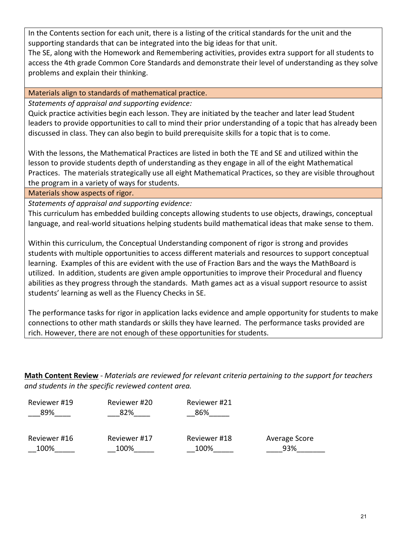In the Contents section for each unit, there is a listing of the critical standards for the unit and the supporting standards that can be integrated into the big ideas for that unit.

The SE, along with the Homework and Remembering activities, provides extra support for all students to access the 4th grade Common Core Standards and demonstrate their level of understanding as they solve problems and explain their thinking.

## Materials align to standards of mathematical practice.

*Statements of appraisal and supporting evidence:*

Quick practice activities begin each lesson. They are initiated by the teacher and later lead Student leaders to provide opportunities to call to mind their prior understanding of a topic that has already been discussed in class. They can also begin to build prerequisite skills for a topic that is to come.

With the lessons, the Mathematical Practices are listed in both the TE and SE and utilized within the lesson to provide students depth of understanding as they engage in all of the eight Mathematical Practices. The materials strategically use all eight Mathematical Practices, so they are visible throughout the program in a variety of ways for students.

Materials show aspects of rigor.

*Statements of appraisal and supporting evidence:*

This curriculum has embedded building concepts allowing students to use objects, drawings, conceptual language, and real-world situations helping students build mathematical ideas that make sense to them.

Within this curriculum, the Conceptual Understanding component of rigor is strong and provides students with multiple opportunities to access different materials and resources to support conceptual learning. Examples of this are evident with the use of Fraction Bars and the ways the MathBoard is utilized. In addition, students are given ample opportunities to improve their Procedural and fluency abilities as they progress through the standards. Math games act as a visual support resource to assist students' learning as well as the Fluency Checks in SE.

The performance tasks for rigor in application lacks evidence and ample opportunity for students to make connections to other math standards or skills they have learned. The performance tasks provided are rich. However, there are not enough of these opportunities for students.

**Math Content Review** - *Materials are reviewed for relevant criteria pertaining to the support for teachers and students in the specific reviewed content area.*

| Reviewer #19 | Reviewer #20 | Reviewer #21 |               |
|--------------|--------------|--------------|---------------|
| 89%          | 82%          | 86%          |               |
| Reviewer #16 | Reviewer #17 | Reviewer #18 | Average Score |
| 100%         | 100%         | 100%         | 93%           |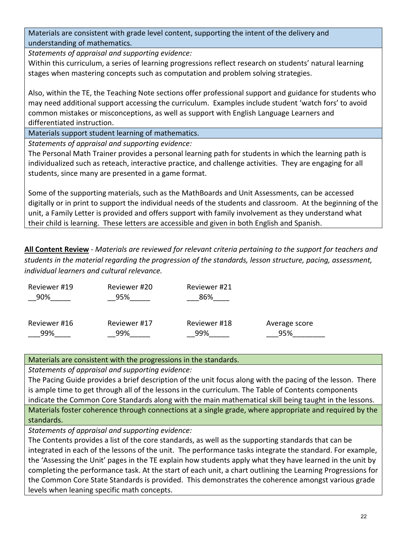Materials are consistent with grade level content, supporting the intent of the delivery and understanding of mathematics.

*Statements of appraisal and supporting evidence:*

Within this curriculum, a series of learning progressions reflect research on students' natural learning stages when mastering concepts such as computation and problem solving strategies.

Also, within the TE, the Teaching Note sections offer professional support and guidance for students who may need additional support accessing the curriculum. Examples include student 'watch fors' to avoid common mistakes or misconceptions, as well as support with English Language Learners and differentiated instruction.

Materials support student learning of mathematics.

*Statements of appraisal and supporting evidence:*

The Personal Math Trainer provides a personal learning path for students in which the learning path is individualized such as reteach, interactive practice, and challenge activities. They are engaging for all students, since many are presented in a game format.

Some of the supporting materials, such as the MathBoards and Unit Assessments, can be accessed digitally or in print to support the individual needs of the students and classroom. At the beginning of the unit, a Family Letter is provided and offers support with family involvement as they understand what their child is learning. These letters are accessible and given in both English and Spanish.

**All Content Review** - *Materials are reviewed for relevant criteria pertaining to the support for teachers and students in the material regarding the progression of the standards, lesson structure, pacing, assessment, individual learners and cultural relevance.*

| Reviewer #19 | Reviewer #20 | Reviewer #21 |               |
|--------------|--------------|--------------|---------------|
| 90%          | 95%          | 86%          |               |
| Reviewer #16 | Reviewer #17 | Reviewer #18 | Average score |
| 99%          | 99%          | 99%          | 95%           |

## Materials are consistent with the progressions in the standards.

*Statements of appraisal and supporting evidence:*

The Pacing Guide provides a brief description of the unit focus along with the pacing of the lesson. There is ample time to get through all of the lessons in the curriculum. The Table of Contents components indicate the Common Core Standards along with the main mathematical skill being taught in the lessons. Materials foster coherence through connections at a single grade, where appropriate and required by the standards.

*Statements of appraisal and supporting evidence:*

The Contents provides a list of the core standards, as well as the supporting standards that can be integrated in each of the lessons of the unit. The performance tasks integrate the standard. For example, the 'Assessing the Unit' pages in the TE explain how students apply what they have learned in the unit by completing the performance task. At the start of each unit, a chart outlining the Learning Progressions for the Common Core State Standards is provided. This demonstrates the coherence amongst various grade levels when leaning specific math concepts.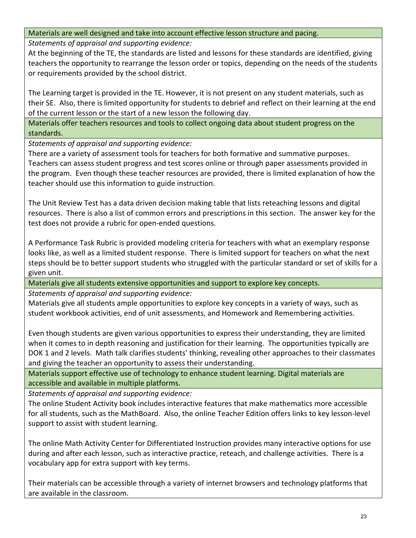## Materials are well designed and take into account effective lesson structure and pacing.

*Statements of appraisal and supporting evidence:*

At the beginning of the TE, the standards are listed and lessons for these standards are identified, giving teachers the opportunity to rearrange the lesson order or topics, depending on the needs of the students or requirements provided by the school district.

The Learning target is provided in the TE. However, it is not present on any student materials, such as their SE. Also, there is limited opportunity for students to debrief and reflect on their learning at the end of the current lesson or the start of a new lesson the following day.

Materials offer teachers resources and tools to collect ongoing data about student progress on the standards.

*Statements of appraisal and supporting evidence:*

There are a variety of assessment tools for teachers for both formative and summative purposes. Teachers can assess student progress and test scores online or through paper assessments provided in the program. Even though these teacher resources are provided, there is limited explanation of how the teacher should use this information to guide instruction.

The Unit Review Test has a data driven decision making table that lists reteaching lessons and digital resources. There is also a list of common errors and prescriptions in this section. The answer key for the test does not provide a rubric for open-ended questions.

A Performance Task Rubric is provided modeling criteria for teachers with what an exemplary response looks like, as well as a limited student response. There is limited support for teachers on what the next steps should be to better support students who struggled with the particular standard or set of skills for a given unit.

Materials give all students extensive opportunities and support to explore key concepts.

*Statements of appraisal and supporting evidence:*

Materials give all students ample opportunities to explore key concepts in a variety of ways, such as student workbook activities, end of unit assessments, and Homework and Remembering activities.

Even though students are given various opportunities to express their understanding, they are limited when it comes to in depth reasoning and justification for their learning. The opportunities typically are DOK 1 and 2 levels. Math talk clarifies students' thinking, revealing other approaches to their classmates and giving the teacher an opportunity to assess their understanding.

Materials support effective use of technology to enhance student learning. Digital materials are accessible and available in multiple platforms.

*Statements of appraisal and supporting evidence:*

The online Student Activity book includes interactive features that make mathematics more accessible for all students, such as the MathBoard. Also, the online Teacher Edition offers links to key lesson-level support to assist with student learning.

The online Math Activity Center for Differentiated Instruction provides many interactive options for use during and after each lesson, such as interactive practice, reteach, and challenge activities. There is a vocabulary app for extra support with key terms.

Their materials can be accessible through a variety of internet browsers and technology platforms that are available in the classroom.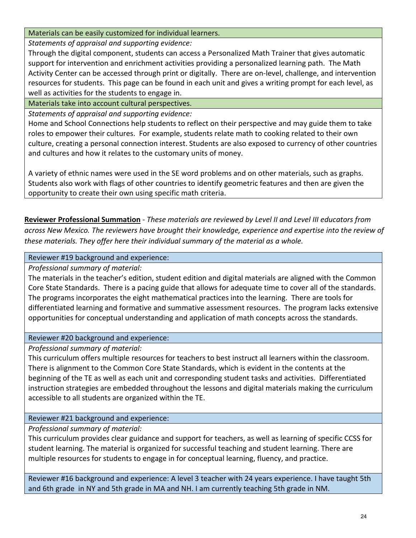Materials can be easily customized for individual learners.

*Statements of appraisal and supporting evidence:*

Through the digital component, students can access a Personalized Math Trainer that gives automatic support for intervention and enrichment activities providing a personalized learning path. The Math Activity Center can be accessed through print or digitally. There are on-level, challenge, and intervention resources for students. This page can be found in each unit and gives a writing prompt for each level, as well as activities for the students to engage in.

Materials take into account cultural perspectives.

*Statements of appraisal and supporting evidence:*

Home and School Connections help students to reflect on their perspective and may guide them to take roles to empower their cultures. For example, students relate math to cooking related to their own culture, creating a personal connection interest. Students are also exposed to currency of other countries and cultures and how it relates to the customary units of money.

A variety of ethnic names were used in the SE word problems and on other materials, such as graphs. Students also work with flags of other countries to identify geometric features and then are given the opportunity to create their own using specific math criteria.

**Reviewer Professional Summation** - *These materials are reviewed by Level II and Level III educators from across New Mexico. The reviewers have brought their knowledge, experience and expertise into the review of these materials. They offer here their individual summary of the material as a whole.* 

## Reviewer #19 background and experience:

*Professional summary of material:*

The materials in the teacher's edition, student edition and digital materials are aligned with the Common Core State Standards. There is a pacing guide that allows for adequate time to cover all of the standards. The programs incorporates the eight mathematical practices into the learning. There are tools for differentiated learning and formative and summative assessment resources. The program lacks extensive opportunities for conceptual understanding and application of math concepts across the standards.

## Reviewer #20 background and experience:

*Professional summary of material:*

This curriculum offers multiple resources for teachers to best instruct all learners within the classroom. There is alignment to the Common Core State Standards, which is evident in the contents at the beginning of the TE as well as each unit and corresponding student tasks and activities. Differentiated instruction strategies are embedded throughout the lessons and digital materials making the curriculum accessible to all students are organized within the TE.

## Reviewer #21 background and experience:

## *Professional summary of material:*

This curriculum provides clear guidance and support for teachers, as well as learning of specific CCSS for student learning. The material is organized for successful teaching and student learning. There are multiple resources for students to engage in for conceptual learning, fluency, and practice.

Reviewer #16 background and experience: A level 3 teacher with 24 years experience. I have taught 5th and 6th grade in NY and 5th grade in MA and NH. I am currently teaching 5th grade in NM.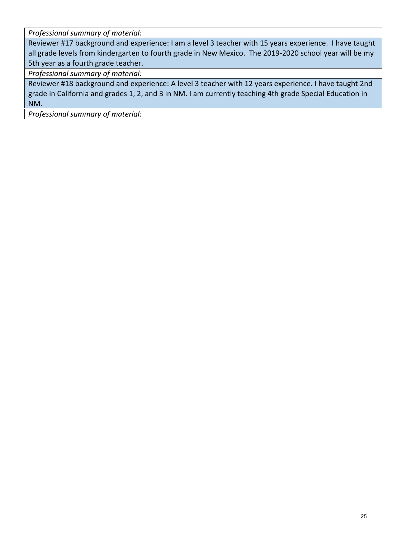*Professional summary of material:* 

Reviewer #17 background and experience: I am a level 3 teacher with 15 years experience. I have taught all grade levels from kindergarten to fourth grade in New Mexico. The 2019-2020 school year will be my 5th year as a fourth grade teacher.

*Professional summary of material:* 

Reviewer #18 background and experience: A level 3 teacher with 12 years experience. I have taught 2nd grade in California and grades 1, 2, and 3 in NM. I am currently teaching 4th grade Special Education in NM.

*Professional summary of material:*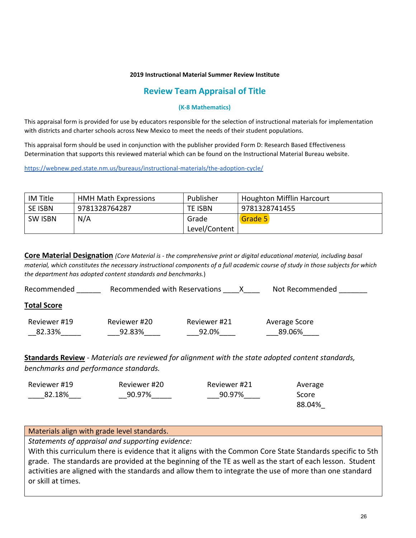#### **2019 Instructional Material Summer Review Institute**

## **Review Team Appraisal of Title**

#### **(K-8 Mathematics)**

This appraisal form is provided for use by educators responsible for the selection of instructional materials for implementation with districts and charter schools across New Mexico to meet the needs of their student populations.

This appraisal form should be used in conjunction with the publisher provided Form D: Research Based Effectiveness Determination that supports this reviewed material which can be found on the Instructional Material Bureau website.

<https://webnew.ped.state.nm.us/bureaus/instructional-materials/the-adoption-cycle/>

| IM Title       | <b>HMH Math Expressions</b> | Publisher     | <b>Houghton Mifflin Harcourt</b> |
|----------------|-----------------------------|---------------|----------------------------------|
| SE ISBN        | 9781328764287               | TE ISBN       | 9781328741455                    |
| <b>SW ISBN</b> | N/A                         | Grade         | Grade 5                          |
|                |                             | Level/Content |                                  |

**Core Material Designation** *(Core Material is - the comprehensive print or digital educational material, including basal material, which constitutes the necessary instructional components of a full academic course of study in those subjects for which the department has adopted content standards and benchmarks.*)

| Recommended            | Recommended with Reservations |                       | Not Recommended         |  |
|------------------------|-------------------------------|-----------------------|-------------------------|--|
| <b>Total Score</b>     |                               |                       |                         |  |
| Reviewer #19<br>82.33% | Reviewer #20<br>92.83%        | Reviewer #21<br>92.0% | Average Score<br>89.06% |  |

**Standards Review** - *Materials are reviewed for alignment with the state adopted content standards, benchmarks and performance standards.*

| Reviewer #19 | Reviewer #20 | Reviewer #21 | Average |
|--------------|--------------|--------------|---------|
| 82.18%       | 90.97%       | 90.97%       | Score   |
|              |              |              | 88.04%  |

### Materials align with grade level standards.

*Statements of appraisal and supporting evidence:*

With this curriculum there is evidence that it aligns with the Common Core State Standards specific to 5th grade. The standards are provided at the beginning of the TE as well as the start of each lesson. Student activities are aligned with the standards and allow them to integrate the use of more than one standard or skill at times.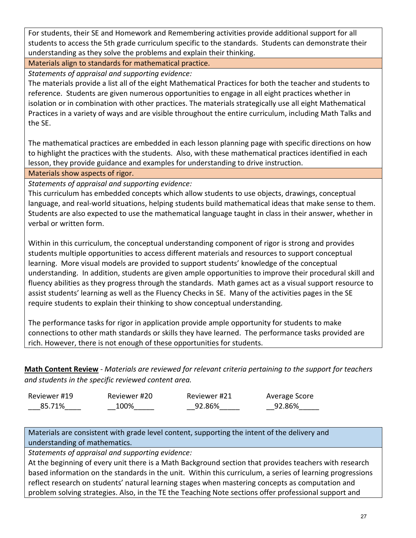For students, their SE and Homework and Remembering activities provide additional support for all students to access the 5th grade curriculum specific to the standards. Students can demonstrate their understanding as they solve the problems and explain their thinking.

Materials align to standards for mathematical practice.

*Statements of appraisal and supporting evidence:*

The materials provide a list all of the eight Mathematical Practices for both the teacher and students to reference. Students are given numerous opportunities to engage in all eight practices whether in isolation or in combination with other practices. The materials strategically use all eight Mathematical Practices in a variety of ways and are visible throughout the entire curriculum, including Math Talks and the SE.

The mathematical practices are embedded in each lesson planning page with specific directions on how to highlight the practices with the students. Also, with these mathematical practices identified in each lesson, they provide guidance and examples for understanding to drive instruction.

Materials show aspects of rigor.

*Statements of appraisal and supporting evidence:*

This curriculum has embedded concepts which allow students to use objects, drawings, conceptual language, and real-world situations, helping students build mathematical ideas that make sense to them. Students are also expected to use the mathematical language taught in class in their answer, whether in verbal or written form.

Within in this curriculum, the conceptual understanding component of rigor is strong and provides students multiple opportunities to access different materials and resources to support conceptual learning. More visual models are provided to support students' knowledge of the conceptual understanding. In addition, students are given ample opportunities to improve their procedural skill and fluency abilities as they progress through the standards. Math games act as a visual support resource to assist students' learning as well as the Fluency Checks in SE. Many of the activities pages in the SE require students to explain their thinking to show conceptual understanding.

The performance tasks for rigor in application provide ample opportunity for students to make connections to other math standards or skills they have learned. The performance tasks provided are rich. However, there is not enough of these opportunities for students.

**Math Content Review** - *Materials are reviewed for relevant criteria pertaining to the support for teachers and students in the specific reviewed content area.*

| Reviewer #19 | Reviewer #20 | Reviewer #21 | Average Score |
|--------------|--------------|--------------|---------------|
| 85.71%       | 100%         | 92.86%       | 92.86%        |

Materials are consistent with grade level content, supporting the intent of the delivery and understanding of mathematics.

*Statements of appraisal and supporting evidence:*

At the beginning of every unit there is a Math Background section that provides teachers with research based information on the standards in the unit. Within this curriculum, a series of learning progressions reflect research on students' natural learning stages when mastering concepts as computation and problem solving strategies. Also, in the TE the Teaching Note sections offer professional support and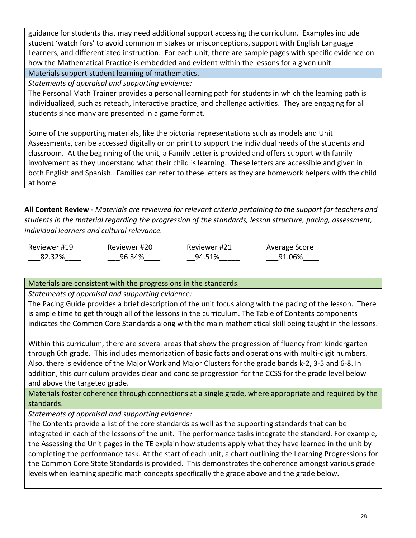guidance for students that may need additional support accessing the curriculum. Examples include student 'watch fors' to avoid common mistakes or misconceptions, support with English Language Learners, and differentiated instruction. For each unit, there are sample pages with specific evidence on how the Mathematical Practice is embedded and evident within the lessons for a given unit.

Materials support student learning of mathematics.

*Statements of appraisal and supporting evidence:*

The Personal Math Trainer provides a personal learning path for students in which the learning path is individualized, such as reteach, interactive practice, and challenge activities. They are engaging for all students since many are presented in a game format.

Some of the supporting materials, like the pictorial representations such as models and Unit Assessments, can be accessed digitally or on print to support the individual needs of the students and classroom. At the beginning of the unit, a Family Letter is provided and offers support with family involvement as they understand what their child is learning. These letters are accessible and given in both English and Spanish. Families can refer to these letters as they are homework helpers with the child at home.

**All Content Review** - *Materials are reviewed for relevant criteria pertaining to the support for teachers and students in the material regarding the progression of the standards, lesson structure, pacing, assessment, individual learners and cultural relevance.*

| Reviewer #19 | Reviewer #20 | Reviewer #21 | Average Score |
|--------------|--------------|--------------|---------------|
| 82.32%       | 96.34%       | 94.51%       | 91.06%        |

## Materials are consistent with the progressions in the standards.

*Statements of appraisal and supporting evidence:*

The Pacing Guide provides a brief description of the unit focus along with the pacing of the lesson. There is ample time to get through all of the lessons in the curriculum. The Table of Contents components indicates the Common Core Standards along with the main mathematical skill being taught in the lessons.

Within this curriculum, there are several areas that show the progression of fluency from kindergarten through 6th grade. This includes memorization of basic facts and operations with multi-digit numbers. Also, there is evidence of the Major Work and Major Clusters for the grade bands k-2, 3-5 and 6-8. In addition, this curriculum provides clear and concise progression for the CCSS for the grade level below and above the targeted grade.

Materials foster coherence through connections at a single grade, where appropriate and required by the standards.

*Statements of appraisal and supporting evidence:*

The Contents provide a list of the core standards as well as the supporting standards that can be integrated in each of the lessons of the unit. The performance tasks integrate the standard. For example, the Assessing the Unit pages in the TE explain how students apply what they have learned in the unit by completing the performance task. At the start of each unit, a chart outlining the Learning Progressions for the Common Core State Standards is provided. This demonstrates the coherence amongst various grade levels when learning specific math concepts specifically the grade above and the grade below.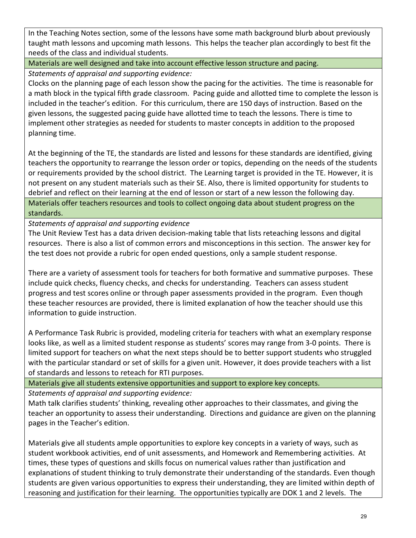In the Teaching Notes section, some of the lessons have some math background blurb about previously taught math lessons and upcoming math lessons. This helps the teacher plan accordingly to best fit the needs of the class and individual students.

Materials are well designed and take into account effective lesson structure and pacing.

*Statements of appraisal and supporting evidence:*

Clocks on the planning page of each lesson show the pacing for the activities. The time is reasonable for a math block in the typical fifth grade classroom. Pacing guide and allotted time to complete the lesson is included in the teacher's edition. For this curriculum, there are 150 days of instruction. Based on the given lessons, the suggested pacing guide have allotted time to teach the lessons. There is time to implement other strategies as needed for students to master concepts in addition to the proposed planning time.

At the beginning of the TE, the standards are listed and lessons for these standards are identified, giving teachers the opportunity to rearrange the lesson order or topics, depending on the needs of the students or requirements provided by the school district. The Learning target is provided in the TE. However, it is not present on any student materials such as their SE. Also, there is limited opportunity for students to debrief and reflect on their learning at the end of lesson or start of a new lesson the following day. Materials offer teachers resources and tools to collect ongoing data about student progress on the standards.

*Statements of appraisal and supporting evidence*

The Unit Review Test has a data driven decision-making table that lists reteaching lessons and digital resources. There is also a list of common errors and misconceptions in this section. The answer key for the test does not provide a rubric for open ended questions, only a sample student response.

There are a variety of assessment tools for teachers for both formative and summative purposes. These include quick checks, fluency checks, and checks for understanding. Teachers can assess student progress and test scores online or through paper assessments provided in the program. Even though these teacher resources are provided, there is limited explanation of how the teacher should use this information to guide instruction.

A Performance Task Rubric is provided, modeling criteria for teachers with what an exemplary response looks like, as well as a limited student response as students' scores may range from 3-0 points. There is limited support for teachers on what the next steps should be to better support students who struggled with the particular standard or set of skills for a given unit. However, it does provide teachers with a list of standards and lessons to reteach for RTI purposes.

Materials give all students extensive opportunities and support to explore key concepts.

*Statements of appraisal and supporting evidence:*

Math talk clarifies students' thinking, revealing other approaches to their classmates, and giving the teacher an opportunity to assess their understanding. Directions and guidance are given on the planning pages in the Teacher's edition.

Materials give all students ample opportunities to explore key concepts in a variety of ways, such as student workbook activities, end of unit assessments, and Homework and Remembering activities. At times, these types of questions and skills focus on numerical values rather than justification and explanations of student thinking to truly demonstrate their understanding of the standards. Even though students are given various opportunities to express their understanding, they are limited within depth of reasoning and justification for their learning. The opportunities typically are DOK 1 and 2 levels. The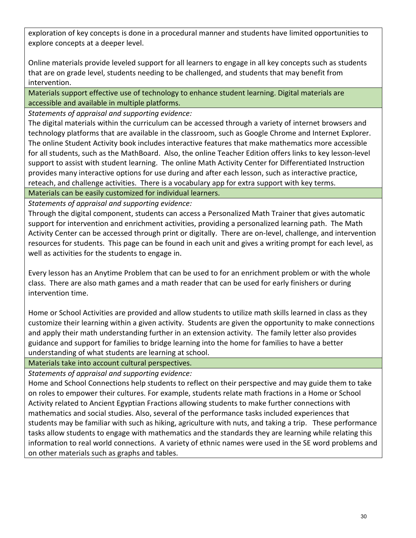exploration of key concepts is done in a procedural manner and students have limited opportunities to explore concepts at a deeper level.

Online materials provide leveled support for all learners to engage in all key concepts such as students that are on grade level, students needing to be challenged, and students that may benefit from intervention.

Materials support effective use of technology to enhance student learning. Digital materials are accessible and available in multiple platforms.

*Statements of appraisal and supporting evidence:*

The digital materials within the curriculum can be accessed through a variety of internet browsers and technology platforms that are available in the classroom, such as Google Chrome and Internet Explorer. The online Student Activity book includes interactive features that make mathematics more accessible for all students, such as the MathBoard. Also, the online Teacher Edition offers links to key lesson-level support to assist with student learning. The online Math Activity Center for Differentiated Instruction provides many interactive options for use during and after each lesson, such as interactive practice, reteach, and challenge activities. There is a vocabulary app for extra support with key terms.

Materials can be easily customized for individual learners.

*Statements of appraisal and supporting evidence:*

Through the digital component, students can access a Personalized Math Trainer that gives automatic support for intervention and enrichment activities, providing a personalized learning path. The Math Activity Center can be accessed through print or digitally. There are on-level, challenge, and intervention resources for students. This page can be found in each unit and gives a writing prompt for each level, as well as activities for the students to engage in.

Every lesson has an Anytime Problem that can be used to for an enrichment problem or with the whole class. There are also math games and a math reader that can be used for early finishers or during intervention time.

Home or School Activities are provided and allow students to utilize math skills learned in class as they customize their learning within a given activity. Students are given the opportunity to make connections and apply their math understanding further in an extension activity. The family letter also provides guidance and support for families to bridge learning into the home for families to have a better understanding of what students are learning at school.

Materials take into account cultural perspectives.

*Statements of appraisal and supporting evidence:*

Home and School Connections help students to reflect on their perspective and may guide them to take on roles to empower their cultures. For example, students relate math fractions in a Home or School Activity related to Ancient Egyptian Fractions allowing students to make further connections with mathematics and social studies. Also, several of the performance tasks included experiences that students may be familiar with such as hiking, agriculture with nuts, and taking a trip. These performance tasks allow students to engage with mathematics and the standards they are learning while relating this information to real world connections. A variety of ethnic names were used in the SE word problems and on other materials such as graphs and tables.